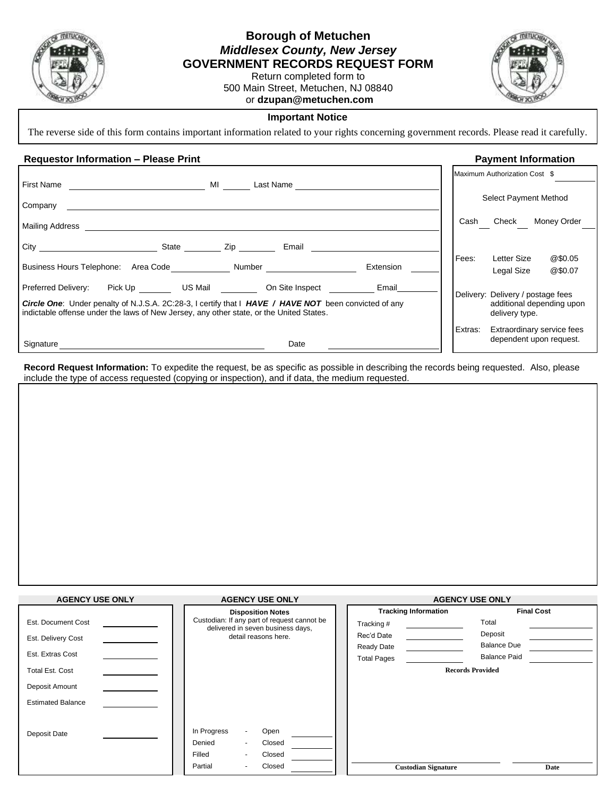

## **Borough of Metuchen** *Middlesex County, New Jersey* **GOVERNMENT RECORDS REQUEST FORM**

Return completed form to 500 Main Street, Metuchen, NJ 08840 or **dzupan@metuchen.com**



## **Important Notice**

The reverse side of this form contains important information related to your rights concerning government records. Please read it carefully.

## **Requestor Information – Please Print Payment Information**

|                                                                                                                                                                                                                                                                     |         | Maximum Authorization Cost \$                                                    |
|---------------------------------------------------------------------------------------------------------------------------------------------------------------------------------------------------------------------------------------------------------------------|---------|----------------------------------------------------------------------------------|
| <b>First Name</b><br>MI<br>Last Name                                                                                                                                                                                                                                |         |                                                                                  |
| Company                                                                                                                                                                                                                                                             |         | Select Payment Method                                                            |
| Mailing Address                                                                                                                                                                                                                                                     | Cash    | Check<br>Money Order                                                             |
| $City$ <sub>____</sub><br>State _______<br>Email<br>$\mathsf{Zip}$                                                                                                                                                                                                  |         |                                                                                  |
| Business Hours Telephone: Area Code Number<br>Extension                                                                                                                                                                                                             | Fees:   | @\$0.05<br>Letter Size<br>@\$0.07<br>Legal Size                                  |
| Pick Up US Mail On Site Inspect<br>Preferred Delivery:<br>Email<br>Circle One: Under penalty of N.J.S.A. 2C:28-3, I certify that I HAVE / HAVE NOT been convicted of any<br>indictable offense under the laws of New Jersey, any other state, or the United States. |         | Delivery: Delivery / postage fees<br>additional depending upon<br>delivery type. |
| Date<br>Signature                                                                                                                                                                                                                                                   | Extras: | Extraordinary service fees<br>dependent upon request.                            |

**Record Request Information:** To expedite the request, be as specific as possible in describing the records being requested. Also, please include the type of access requested (copying or inspection), and if data, the medium requested.

| <b>AGENCY USE ONLY</b>   | <b>AGENCY USE ONLY</b>                                                           | <b>AGENCY USE ONLY</b>      |                         |  |
|--------------------------|----------------------------------------------------------------------------------|-----------------------------|-------------------------|--|
|                          | <b>Disposition Notes</b>                                                         | <b>Tracking Information</b> | <b>Final Cost</b>       |  |
| Est. Document Cost       | Custodian: If any part of request cannot be<br>delivered in seven business days, | Tracking #                  | Total                   |  |
| Est. Delivery Cost       | detail reasons here.                                                             | Rec'd Date                  | Deposit                 |  |
|                          |                                                                                  | Ready Date                  | <b>Balance Due</b>      |  |
| Est. Extras Cost         |                                                                                  | <b>Total Pages</b>          | <b>Balance Paid</b>     |  |
| <b>Total Est. Cost</b>   |                                                                                  |                             | <b>Records Provided</b> |  |
| Deposit Amount           |                                                                                  |                             |                         |  |
| <b>Estimated Balance</b> |                                                                                  |                             |                         |  |
|                          |                                                                                  |                             |                         |  |
| Deposit Date             | In Progress<br>Open                                                              |                             |                         |  |
|                          | Denied<br>Closed                                                                 |                             |                         |  |
|                          | Closed<br>Filled                                                                 |                             |                         |  |
|                          | Closed<br>Partial                                                                | <b>Custodian Signature</b>  | Date                    |  |